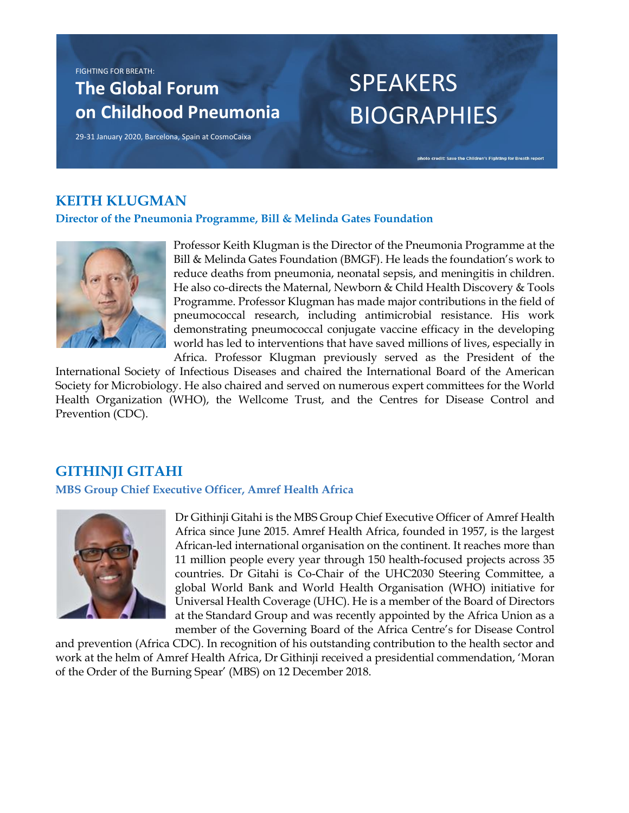FIGHTING FOR BREATH:

## **The Global Forum on Childhood Pneumonia**

29-31 January 2020, Barcelona, Spain at CosmoCaixa

# SPEAKERS BIOGRAPHIES

photo credit: Save the Children's Fighting for Breath report

## **KEITH KLUGMAN**

#### **Director of the Pneumonia Programme, Bill & Melinda Gates Foundation**



Professor Keith Klugman is the Director of the Pneumonia Programme at the Bill & Melinda Gates Foundation (BMGF). He leads the foundation's work to reduce deaths from pneumonia, neonatal sepsis, and meningitis in children. He also co-directs the Maternal, Newborn & Child Health Discovery & Tools Programme. Professor Klugman has made major contributions in the field of pneumococcal research, including antimicrobial resistance. His work demonstrating pneumococcal conjugate vaccine efficacy in the developing world has led to interventions that have saved millions of lives, especially in Africa. Professor Klugman previously served as the President of the

International Society of Infectious Diseases and chaired the International Board of the American Society for Microbiology. He also chaired and served on numerous expert committees for the World Health Organization (WHO), the Wellcome Trust, and the Centres for Disease Control and Prevention (CDC).

## **GITHINJI GITAHI**

#### **MBS Group Chief Executive Officer, Amref Health Africa**



Dr Githinji Gitahi is the MBS Group Chief Executive Officer of Amref Health Africa since June 2015. Amref Health Africa, founded in 1957, is the largest African-led international organisation on the continent. It reaches more than 11 million people every year through 150 health-focused projects across 35 countries. Dr Gitahi is Co-Chair of the UHC2030 Steering Committee, a global World Bank and World Health Organisation (WHO) initiative for Universal Health Coverage (UHC). He is a member of the Board of Directors at the Standard Group and was recently appointed by the Africa Union as a member of the Governing Board of the Africa Centre's for Disease Control

and prevention (Africa CDC). In recognition of his outstanding contribution to the health sector and work at the helm of Amref Health Africa, Dr Githinji received a presidential commendation, 'Moran of the Order of the Burning Spear' (MBS) on 12 December 2018.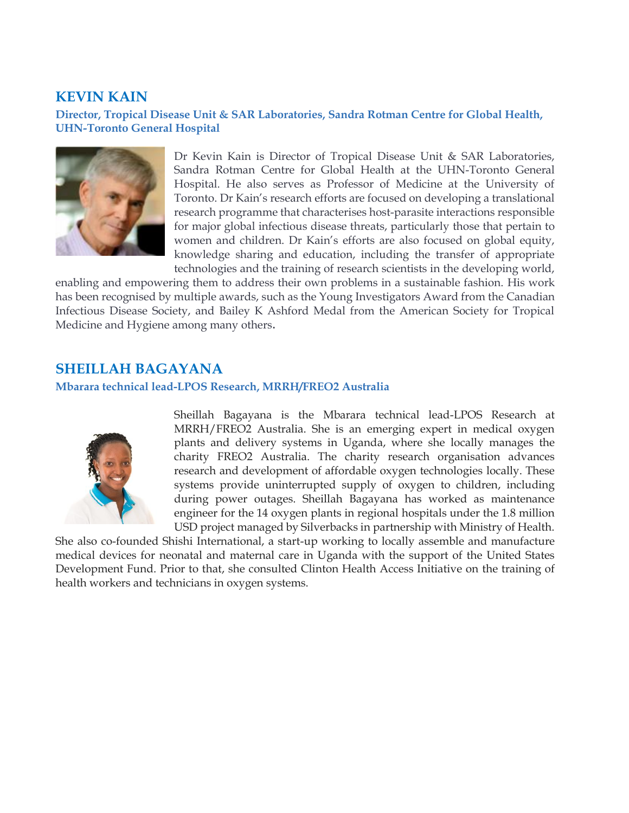## **KEVIN KAIN**

#### **Director, Tropical Disease Unit & SAR Laboratories, Sandra Rotman Centre for Global Health, UHN-Toronto General Hospital**



Dr Kevin Kain is Director of Tropical Disease Unit & SAR Laboratories, Sandra Rotman Centre for Global Health at the UHN-Toronto General Hospital. He also serves as Professor of Medicine at the University of Toronto. Dr Kain's research efforts are focused on developing a translational research programme that characterises host-parasite interactions responsible for major global infectious disease threats, particularly those that pertain to women and children. Dr Kain's efforts are also focused on global equity, knowledge sharing and education, including the transfer of appropriate technologies and the training of research scientists in the developing world,

enabling and empowering them to address their own problems in a sustainable fashion. His work has been recognised by multiple awards, such as the Young Investigators Award from the Canadian Infectious Disease Society, and Bailey K Ashford Medal from the American Society for Tropical Medicine and Hygiene among many others.

## **SHEILLAH BAGAYANA**

#### **Mbarara technical lead-LPOS Research, MRRH/FREO2 Australia**



Sheillah Bagayana is the Mbarara technical lead-LPOS Research at MRRH/FREO2 Australia. She is an emerging expert in medical oxygen plants and delivery systems in Uganda, where she locally manages the charity FREO2 Australia. The charity research organisation advances research and development of affordable oxygen technologies locally. These systems provide uninterrupted supply of oxygen to children, including during power outages. Sheillah Bagayana has worked as maintenance engineer for the 14 oxygen plants in regional hospitals under the 1.8 million USD project managed by Silverbacks in partnership with Ministry of Health.

She also co-founded Shishi International, a start-up working to locally assemble and manufacture medical devices for neonatal and maternal care in Uganda with the support of the United States Development Fund. Prior to that, she consulted Clinton Health Access Initiative on the training of health workers and technicians in oxygen systems.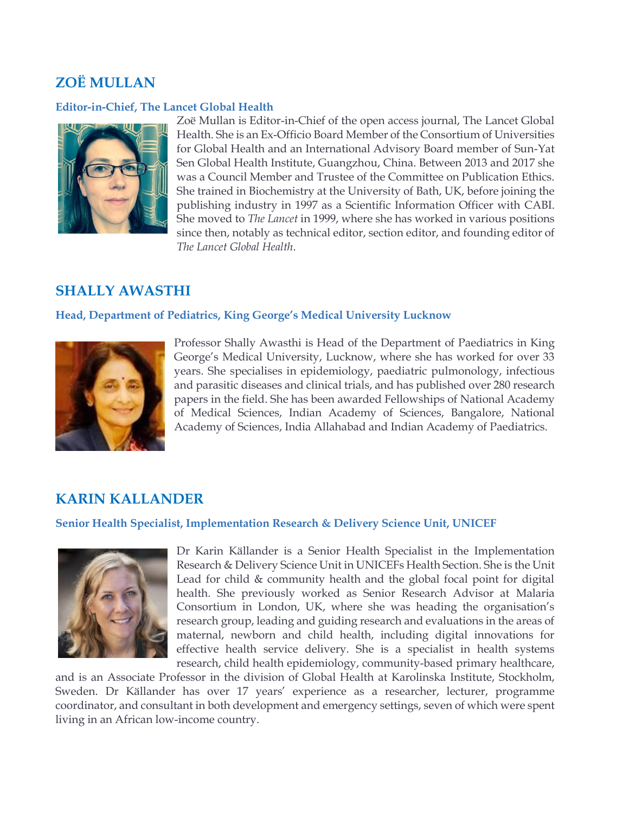## **ZOË MULLAN**

#### **Editor-in-Chief, The Lancet Global Health**



Zoë Mullan is Editor-in-Chief of the open access journal, The Lancet Global Health. She is an Ex-Officio Board Member of the Consortium of Universities for Global Health and an International Advisory Board member of Sun-Yat Sen Global Health Institute, Guangzhou, China. Between 2013 and 2017 she was a Council Member and Trustee of the Committee on Publication Ethics. She trained in Biochemistry at the University of Bath, UK, before joining the publishing industry in 1997 as a Scientific Information Officer with CABI. She moved to *The Lancet* in 1999, where she has worked in various positions since then, notably as technical editor, section editor, and founding editor of *The Lancet Global Health*.

## **SHALLY AWASTHI**

#### **Head, Department of Pediatrics, King George's Medical University Lucknow**



Professor Shally Awasthi is Head of the Department of Paediatrics in King George's Medical University, Lucknow, where she has worked for over 33 years. She specialises in epidemiology, paediatric pulmonology, infectious and parasitic diseases and clinical trials, and has published over 280 research papers in the field. She has been awarded Fellowships of National Academy of Medical Sciences, Indian Academy of Sciences, Bangalore, National Academy of Sciences, India Allahabad and Indian Academy of Paediatrics.

## **KARIN KALLANDER**

#### **Senior Health Specialist, Implementation Research & Delivery Science Unit, UNICEF**



Dr Karin Källander is a Senior Health Specialist in the Implementation Research & Delivery Science Unit in UNICEFs Health Section. She is the Unit Lead for child & community health and the global focal point for digital health. She previously worked as Senior Research Advisor at Malaria Consortium in London, UK, where she was heading the organisation's research group, leading and guiding research and evaluations in the areas of maternal, newborn and child health, including digital innovations for effective health service delivery. She is a specialist in health systems research, child health epidemiology, community-based primary healthcare,

and is an Associate Professor in the division of Global Health at Karolinska Institute, Stockholm, Sweden. Dr Källander has over 17 years' experience as a researcher, lecturer, programme coordinator, and consultant in both development and emergency settings, seven of which were spent living in an African low-income country.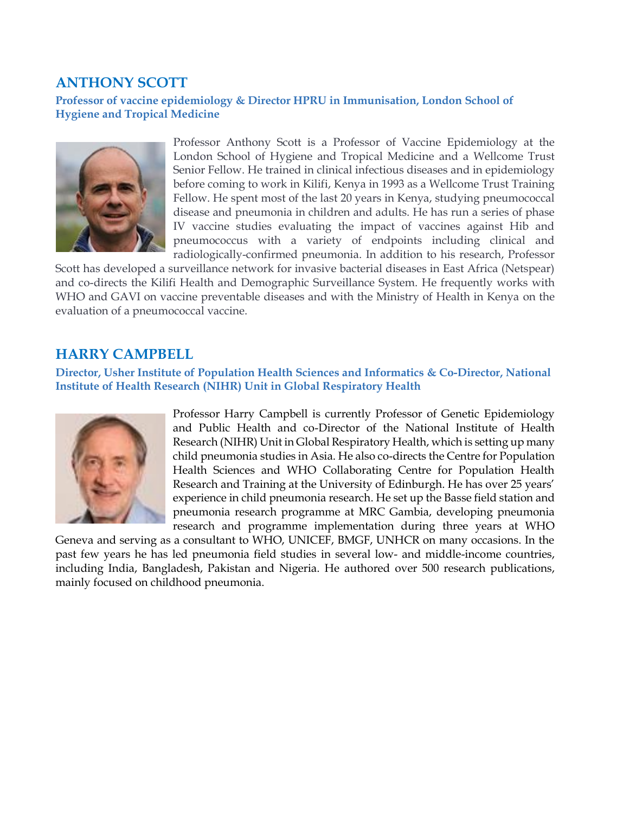## **ANTHONY SCOTT**

#### **Professor of vaccine epidemiology & Director HPRU in Immunisation, London School of Hygiene and Tropical Medicine**



Professor Anthony Scott is a Professor of Vaccine Epidemiology at the London School of Hygiene and Tropical Medicine and a Wellcome Trust Senior Fellow. He trained in clinical infectious diseases and in epidemiology before coming to work in Kilifi, Kenya in 1993 as a Wellcome Trust Training Fellow. He spent most of the last 20 years in Kenya, studying pneumococcal disease and pneumonia in children and adults. He has run a series of phase IV vaccine studies evaluating the impact of vaccines against Hib and pneumococcus with a variety of endpoints including clinical and radiologically-confirmed pneumonia. In addition to his research, Professor

Scott has developed a surveillance network for invasive bacterial diseases in East Africa (Netspear) and co-directs the Kilifi Health and Demographic Surveillance System. He frequently works with WHO and GAVI on vaccine preventable diseases and with the Ministry of Health in Kenya on the evaluation of a pneumococcal vaccine.

## **HARRY CAMPBELL**

**Director, Usher Institute of Population Health Sciences and Informatics & Co-Director, National Institute of Health Research (NIHR) Unit in Global Respiratory Health**



Professor Harry Campbell is currently Professor of Genetic Epidemiology and Public Health and co-Director of the National Institute of Health Research (NIHR) Unit in Global Respiratory Health, which is setting up many child pneumonia studies in Asia. He also co-directs the Centre for Population Health Sciences and WHO Collaborating Centre for Population Health Research and Training at the University of Edinburgh. He has over 25 years' experience in child pneumonia research. He set up the Basse field station and pneumonia research programme at MRC Gambia, developing pneumonia research and programme implementation during three years at WHO

Geneva and serving as a consultant to WHO, UNICEF, BMGF, UNHCR on many occasions. In the past few years he has led pneumonia field studies in several low- and middle-income countries, including India, Bangladesh, Pakistan and Nigeria. He authored over 500 research publications, mainly focused on childhood pneumonia.